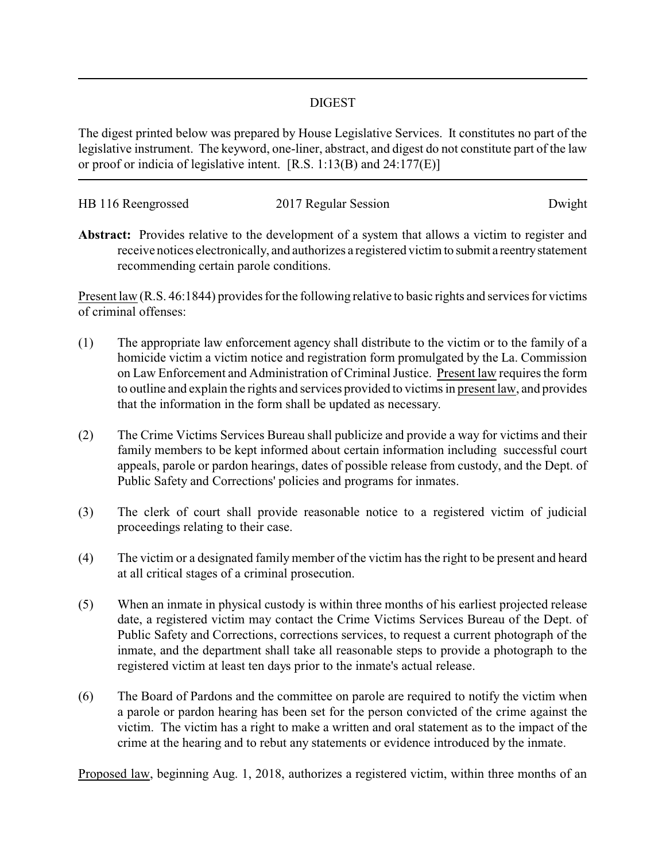## DIGEST

The digest printed below was prepared by House Legislative Services. It constitutes no part of the legislative instrument. The keyword, one-liner, abstract, and digest do not constitute part of the law or proof or indicia of legislative intent. [R.S. 1:13(B) and 24:177(E)]

| HB 116 Reengrossed | 2017 Regular Session | Dwight |
|--------------------|----------------------|--------|
|                    |                      |        |

**Abstract:** Provides relative to the development of a system that allows a victim to register and receive notices electronically, and authorizes a registered victim to submit a reentrystatement recommending certain parole conditions.

Present law (R.S. 46:1844) provides for the following relative to basic rights and services for victims of criminal offenses:

- (1) The appropriate law enforcement agency shall distribute to the victim or to the family of a homicide victim a victim notice and registration form promulgated by the La. Commission on Law Enforcement and Administration of Criminal Justice. Present law requires the form to outline and explain the rights and services provided to victims in present law, and provides that the information in the form shall be updated as necessary.
- (2) The Crime Victims Services Bureau shall publicize and provide a way for victims and their family members to be kept informed about certain information including successful court appeals, parole or pardon hearings, dates of possible release from custody, and the Dept. of Public Safety and Corrections' policies and programs for inmates.
- (3) The clerk of court shall provide reasonable notice to a registered victim of judicial proceedings relating to their case.
- (4) The victim or a designated family member of the victim has the right to be present and heard at all critical stages of a criminal prosecution.
- (5) When an inmate in physical custody is within three months of his earliest projected release date, a registered victim may contact the Crime Victims Services Bureau of the Dept. of Public Safety and Corrections, corrections services, to request a current photograph of the inmate, and the department shall take all reasonable steps to provide a photograph to the registered victim at least ten days prior to the inmate's actual release.
- (6) The Board of Pardons and the committee on parole are required to notify the victim when a parole or pardon hearing has been set for the person convicted of the crime against the victim. The victim has a right to make a written and oral statement as to the impact of the crime at the hearing and to rebut any statements or evidence introduced by the inmate.

Proposed law, beginning Aug. 1, 2018, authorizes a registered victim, within three months of an